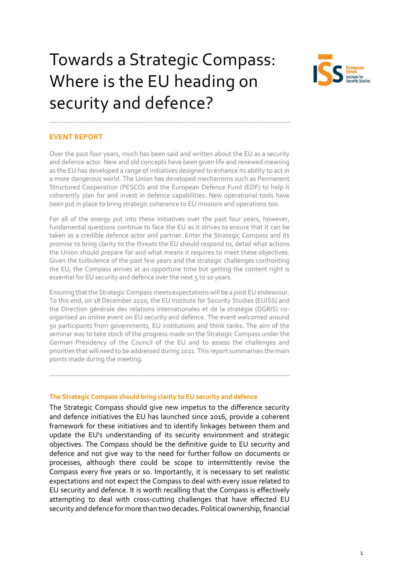# Towards a Strategic Compass: Where is the EU heading on security and defence?



## **EVENT REPORT**

Over the past four years, much has been said and written about the EU as a security and defence actor. New and old concepts have been given life and renewed meaning as the EU has developed a range of initiatives designed to enhance its ability to act in a more dangerous world. The Union has developed mechanisms such as Permanent Structured Cooperation (PESCO) and the European Defence Fund (EDF) to help it coherently plan for and invest in defence capabilities. New operational tools have been put in place to bring strategic coherence to EU missions and operations too.

\_\_\_\_\_\_\_\_\_\_\_\_\_\_\_\_\_\_\_\_\_\_\_\_\_\_\_\_\_\_\_\_\_\_\_\_\_\_\_\_\_\_\_\_\_\_\_\_\_\_\_\_\_\_\_\_\_

For all of the energy put into these initiatives over the past four years, however, fundamental questions continue to face the EU as it strives to ensure that it can be taken as a credible defence actor and partner. Enter the Strategic Compass and its promise to bring clarity to the threats the EU should respond to, detail what actions the Union should prepare for and what means it requires to meet these objectives. Given the turbulence of the past few years and the strategic challenges confronting the EU, the Compass arrives at an opportune time but getting the content right is essential for EU security and defence over the next 5 to 10 years.

Ensuring that the Strategic Compass meets expectations will be a joint EU endeavour. To this end, on 18 December 2020, the EU Institute for Security Studies (EUISS) and the Direction générale des relations internationales et de la stratégie (DGRIS) coorganised an online event on EU security and defence. The event welcomed around 50 participants from governments, EU institutions and think tanks. The aim of the seminar was to take stock of the progress made on the Strategic Compass under the German Presidency of the Council of the EU and to assess the challenges and priorities that will need to be addressed during 2021. This report summarises the main points made during the meeting.

\_\_\_\_\_\_\_\_\_\_\_\_\_\_\_\_\_\_\_\_\_\_\_\_\_\_\_\_\_\_\_\_\_\_\_\_\_\_\_\_\_\_\_\_\_\_\_\_\_\_\_\_\_\_\_\_\_

## **The Strategic Compass should bring clarity to EU security and defence**

The Strategic Compass should give new impetus to the difference security and defence initiatives the EU has launched since 2016, provide a coherent framework for these initiatives and to identify linkages between them and update the EU's understanding of its security environment and strategic objectives. The Compass should be the definitive guide to EU security and defence and not give way to the need for further follow on documents or processes, although there could be scope to intermittently revise the Compass every five years or so. Importantly, it is necessary to set realistic expectations and not expect the Compass to deal with every issue related to EU security and defence. It is worth recalling that the Compass is effectively attempting to deal with cross-cutting challenges that have effected EU security and defence for more than two decades. Political ownership, financial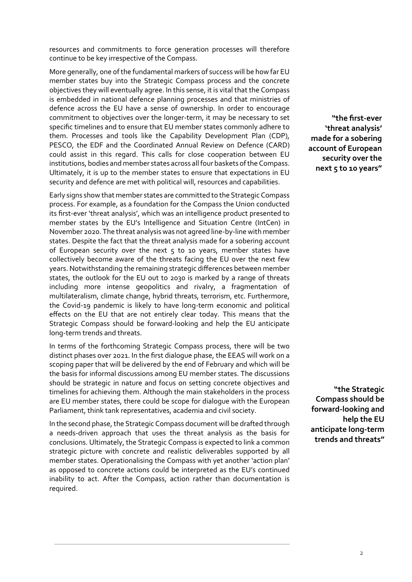resources and commitments to force generation processes will therefore continue to be key irrespective of the Compass.

More generally, one of the fundamental markers of success will be how far EU member states buy into the Strategic Compass process and the concrete objectives they will eventually agree. In this sense, it is vital that the Compass is embedded in national defence planning processes and that ministries of defence across the EU have a sense of ownership. In order to encourage commitment to objectives over the longer-term, it may be necessary to set specific timelines and to ensure that EU member states commonly adhere to them. Processes and tools like the Capability Development Plan (CDP), PESCO, the EDF and the Coordinated Annual Review on Defence (CARD) could assist in this regard. This calls for close cooperation between EU institutions, bodies and member states across all four baskets of the Compass. Ultimately, it is up to the member states to ensure that expectations in EU security and defence are met with political will, resources and capabilities.

Early signs show that member states are committed to the Strategic Compass process. For example, as a foundation for the Compass the Union conducted its first-ever 'threat analysis', which was an intelligence product presented to member states by the EU's Intelligence and Situation Centre (IntCen) in November 2020. The threat analysis was not agreed line-by-line with member states. Despite the fact that the threat analysis made for a sobering account of European security over the next  $5$  to 10 years, member states have collectively become aware of the threats facing the EU over the next few years. Notwithstanding the remaining strategic differences between member states, the outlook for the EU out to 2030 is marked by a range of threats including more intense geopolitics and rivalry, a fragmentation of multilateralism, climate change, hybrid threats, terrorism, etc. Furthermore, the Covid-19 pandemic is likely to have long-term economic and political effects on the EU that are not entirely clear today. This means that the Strategic Compass should be forward-looking and help the EU anticipate long-term trends and threats.

In terms of the forthcoming Strategic Compass process, there will be two distinct phases over 2021. In the first dialogue phase, the EEAS will work on a scoping paper that will be delivered by the end of February and which will be the basis for informal discussions among EU member states. The discussions should be strategic in nature and focus on setting concrete objectives and timelines for achieving them. Although the main stakeholders in the process are EU member states, there could be scope for dialogue with the European Parliament, think tank representatives, academia and civil society.

In the second phase, the Strategic Compass document will be drafted through a needs-driven approach that uses the threat analysis as the basis for conclusions. Ultimately, the Strategic Compass is expected to link a common strategic picture with concrete and realistic deliverables supported by all member states. Operationalising the Compass with yet another 'action plan' as opposed to concrete actions could be interpreted as the EU's continued inability to act. After the Compass, action rather than documentation is required.

**"the first-ever 'threat analysis' made for a sobering account of European security over the next 5 to 10 years"**

**"the Strategic Compass should be forward-looking and help the EU anticipate long-term trends and threats"**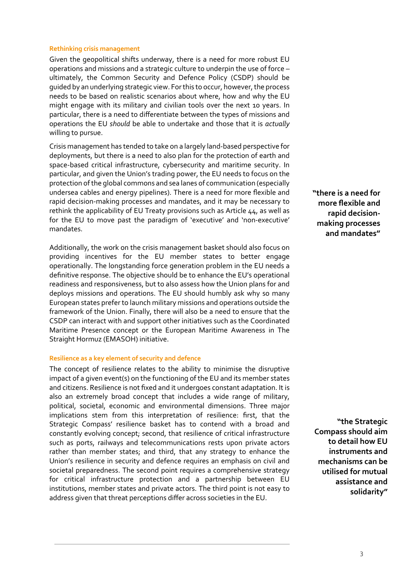#### **Rethinking crisis management**

Given the geopolitical shifts underway, there is a need for more robust EU operations and missions and a strategic culture to underpin the use of force – ultimately, the Common Security and Defence Policy (CSDP) should be guided by an underlying strategic view. For this to occur, however, the process needs to be based on realistic scenarios about where, how and why the EU might engage with its military and civilian tools over the next 10 years. In particular, there is a need to differentiate between the types of missions and operations the EU *should* be able to undertake and those that it is *actually*  willing to pursue.

Crisis management has tended to take on a largely land-based perspective for deployments, but there is a need to also plan for the protection of earth and space-based critical infrastructure, cybersecurity and maritime security. In particular, and given the Union's trading power, the EU needs to focus on the protection of the global commons and sea lanes of communication (especially undersea cables and energy pipelines). There is a need for more flexible and rapid decision-making processes and mandates, and it may be necessary to rethink the applicability of EU Treaty provisions such as Article 44, as well as for the EU to move past the paradigm of 'executive' and 'non-executive' mandates.

Additionally, the work on the crisis management basket should also focus on providing incentives for the EU member states to better engage operationally. The longstanding force generation problem in the EU needs a definitive response. The objective should be to enhance the EU's operational readiness and responsiveness, but to also assess how the Union plans for and deploys missions and operations. The EU should humbly ask why so many European states prefer to launch military missions and operations outside the framework of the Union. Finally, there will also be a need to ensure that the CSDP can interact with and support other initiatives such as the Coordinated Maritime Presence concept or the European Maritime Awareness in The Straight Hormuz (EMASOH) initiative.

#### **Resilience as a key element of security and defence**

The concept of resilience relates to the ability to minimise the disruptive impact of a given event(s) on the functioning of the EU and its member states and citizens. Resilience is not fixed and it undergoes constant adaptation. It is also an extremely broad concept that includes a wide range of military, political, societal, economic and environmental dimensions. Three major implications stem from this interpretation of resilience: first, that the Strategic Compass' resilience basket has to contend with a broad and constantly evolving concept; second, that resilience of critical infrastructure such as ports, railways and telecommunications rests upon private actors rather than member states; and third, that any strategy to enhance the Union's resilience in security and defence requires an emphasis on civil and societal preparedness. The second point requires a comprehensive strategy for critical infrastructure protection and a partnership between EU institutions, member states and private actors. The third point is not easy to address given that threat perceptions differ across societies in the EU.

**"there is a need for more flexible and rapid decisionmaking processes and mandates"**

**"the Strategic Compass should aim to detail how EU instruments and mechanisms can be utilised for mutual assistance and solidarity"**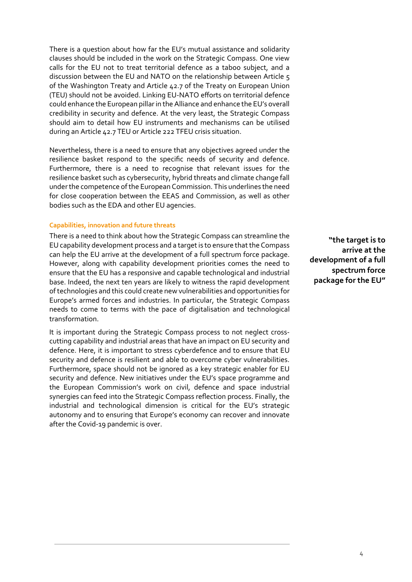There is a question about how far the EU's mutual assistance and solidarity clauses should be included in the work on the Strategic Compass. One view calls for the EU not to treat territorial defence as a taboo subject, and a discussion between the EU and NATO on the relationship between Article 5 of the Washington Treaty and Article 42.7 of the Treaty on European Union (TEU) should not be avoided. Linking EU-NATO efforts on territorial defence could enhance the European pillar in the Alliance and enhance the EU's overall credibility in security and defence. At the very least, the Strategic Compass should aim to detail how EU instruments and mechanisms can be utilised during an Article 42.7 TEU or Article 222 TFEU crisis situation.

Nevertheless, there is a need to ensure that any objectives agreed under the resilience basket respond to the specific needs of security and defence. Furthermore, there is a need to recognise that relevant issues for the resilience basket such as cybersecurity, hybrid threats and climate change fall under the competence of the European Commission. This underlines the need for close cooperation between the EEAS and Commission, as well as other bodies such as the EDA and other EU agencies.

## **Capabilities, innovation and future threats**

There is a need to think about how the Strategic Compass can streamline the EU capability development process and a target is to ensure that the Compass can help the EU arrive at the development of a full spectrum force package. However, along with capability development priorities comes the need to ensure that the EU has a responsive and capable technological and industrial base. Indeed, the next ten years are likely to witness the rapid development of technologies and this could create new vulnerabilities and opportunities for Europe's armed forces and industries. In particular, the Strategic Compass needs to come to terms with the pace of digitalisation and technological transformation.

It is important during the Strategic Compass process to not neglect crosscutting capability and industrial areas that have an impact on EU security and defence. Here, it is important to stress cyberdefence and to ensure that EU security and defence is resilient and able to overcome cyber vulnerabilities. Furthermore, space should not be ignored as a key strategic enabler for EU security and defence. New initiatives under the EU's space programme and the European Commission's work on civil, defence and space industrial synergies can feed into the Strategic Compass reflection process. Finally, the industrial and technological dimension is critical for the EU's strategic autonomy and to ensuring that Europe's economy can recover and innovate after the Covid-19 pandemic is over.

**"the target is to arrive at the development of a full spectrum force package for the EU"**